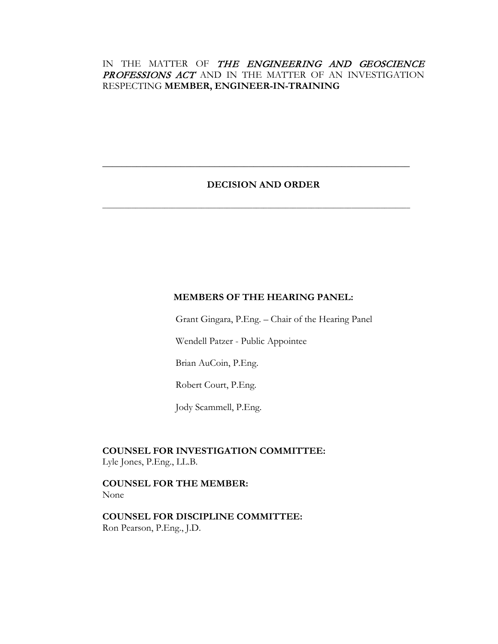# IN THE MATTER OF THE ENGINEERING AND GEOSCIENCE PROFESSIONS ACT AND IN THE MATTER OF AN INVESTIGATION RESPECTING **MEMBER, ENGINEER-IN-TRAINING**

# **DECISION AND ORDER**

**\_\_\_\_\_\_\_\_\_\_\_\_\_\_\_\_\_\_\_\_\_\_\_\_\_\_\_\_\_\_\_\_\_\_\_\_\_\_\_\_\_\_\_\_\_\_\_\_\_\_\_\_\_\_\_\_\_\_\_\_\_\_\_**

**\_\_\_\_\_\_\_\_\_\_\_\_\_\_\_\_\_\_\_\_\_\_\_\_\_\_\_\_\_\_\_\_\_\_\_\_\_\_\_\_\_\_\_\_\_\_\_\_\_\_\_\_\_\_\_\_\_\_\_\_\_\_\_\_\_\_\_\_\_\_\_\_\_\_\_\_\_\_\_\_\_\_\_\_**

# **MEMBERS OF THE HEARING PANEL:**

Grant Gingara, P.Eng. – Chair of the Hearing Panel

Wendell Patzer - Public Appointee

Brian AuCoin, P.Eng.

Robert Court, P.Eng.

Jody Scammell, P.Eng.

**COUNSEL FOR INVESTIGATION COMMITTEE:** Lyle Jones, P.Eng., LL.B.

**COUNSEL FOR THE MEMBER:** None

**COUNSEL FOR DISCIPLINE COMMITTEE:** Ron Pearson, P.Eng., J.D.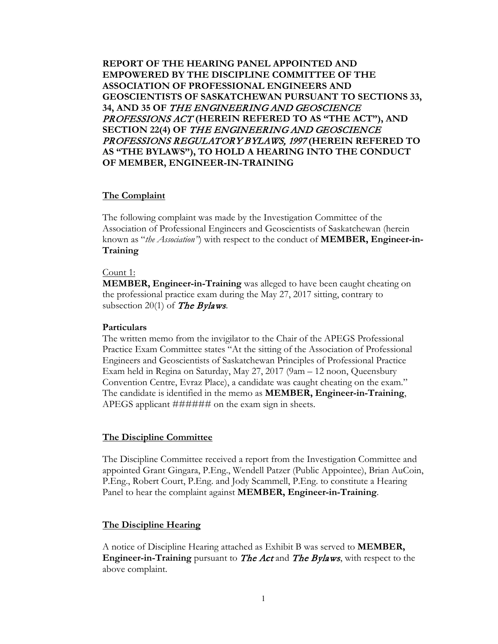**REPORT OF THE HEARING PANEL APPOINTED AND EMPOWERED BY THE DISCIPLINE COMMITTEE OF THE ASSOCIATION OF PROFESSIONAL ENGINEERS AND GEOSCIENTISTS OF SASKATCHEWAN PURSUANT TO SECTIONS 33, 34, AND 35 OF** THE ENGINEERING AND GEOSCIENCE PROFESSIONS ACT **(HEREIN REFERED TO AS "THE ACT"), AND SECTION 22(4) OF** THE ENGINEERING AND GEOSCIENCE PROFESSIONS REGULATORY BYLAWS, 1997 **(HEREIN REFERED TO AS "THE BYLAWS"), TO HOLD A HEARING INTO THE CONDUCT OF MEMBER, ENGINEER-IN-TRAINING**

### **The Complaint**

The following complaint was made by the Investigation Committee of the Association of Professional Engineers and Geoscientists of Saskatchewan (herein known as "*the Association"*) with respect to the conduct of **MEMBER, Engineer-in-Training**

### Count 1:

**MEMBER, Engineer-in-Training** was alleged to have been caught cheating on the professional practice exam during the May 27, 2017 sitting, contrary to subsection 20(1) of The Bylaws*.*

#### **Particulars**

The written memo from the invigilator to the Chair of the APEGS Professional Practice Exam Committee states "At the sitting of the Association of Professional Engineers and Geoscientists of Saskatchewan Principles of Professional Practice Exam held in Regina on Saturday, May 27, 2017 (9am – 12 noon, Queensbury Convention Centre, Evraz Place), a candidate was caught cheating on the exam." The candidate is identified in the memo as **MEMBER, Engineer-in-Training**, APEGS applicant ####### on the exam sign in sheets.

#### **The Discipline Committee**

The Discipline Committee received a report from the Investigation Committee and appointed Grant Gingara, P.Eng., Wendell Patzer (Public Appointee), Brian AuCoin, P.Eng., Robert Court, P.Eng. and Jody Scammell, P.Eng. to constitute a Hearing Panel to hear the complaint against **MEMBER, Engineer-in-Training**.

### **The Discipline Hearing**

A notice of Discipline Hearing attached as Exhibit B was served to **MEMBER, Engineer-in-Training** pursuant to The Act and The Bylaws, with respect to the above complaint.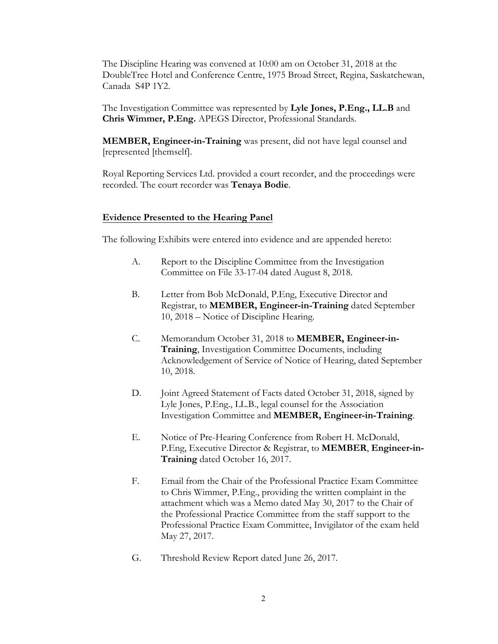The Discipline Hearing was convened at 10:00 am on October 31, 2018 at the DoubleTree Hotel and Conference Centre, 1975 Broad Street, Regina, Saskatchewan, Canada S4P 1Y2.

The Investigation Committee was represented by **Lyle Jones, P.Eng., LL.B** and **Chris Wimmer, P.Eng.** APEGS Director, Professional Standards.

**MEMBER, Engineer-in-Training** was present, did not have legal counsel and [represented [themself].

Royal Reporting Services Ltd. provided a court recorder, and the proceedings were recorded. The court recorder was **Tenaya Bodie**.

### **Evidence Presented to the Hearing Panel**

The following Exhibits were entered into evidence and are appended hereto:

- A. Report to the Discipline Committee from the Investigation Committee on File 33-17-04 dated August 8, 2018.
- B. Letter from Bob McDonald, P.Eng, Executive Director and Registrar, to **MEMBER, Engineer-in-Training** dated September 10, 2018 – Notice of Discipline Hearing.
- C. Memorandum October 31, 2018 to **MEMBER, Engineer-in-Training**, Investigation Committee Documents, including Acknowledgement of Service of Notice of Hearing, dated September 10, 2018.
- D. Joint Agreed Statement of Facts dated October 31, 2018, signed by Lyle Jones, P.Eng., LL.B., legal counsel for the Association Investigation Committee and **MEMBER, Engineer-in-Training**.
- E. Notice of Pre-Hearing Conference from Robert H. McDonald, P.Eng, Executive Director & Registrar, to **MEMBER**, **Engineer-in-Training** dated October 16, 2017.
- F. Email from the Chair of the Professional Practice Exam Committee to Chris Wimmer, P.Eng., providing the written complaint in the attachment which was a Memo dated May 30, 2017 to the Chair of the Professional Practice Committee from the staff support to the Professional Practice Exam Committee, Invigilator of the exam held May 27, 2017.
- G. Threshold Review Report dated June 26, 2017.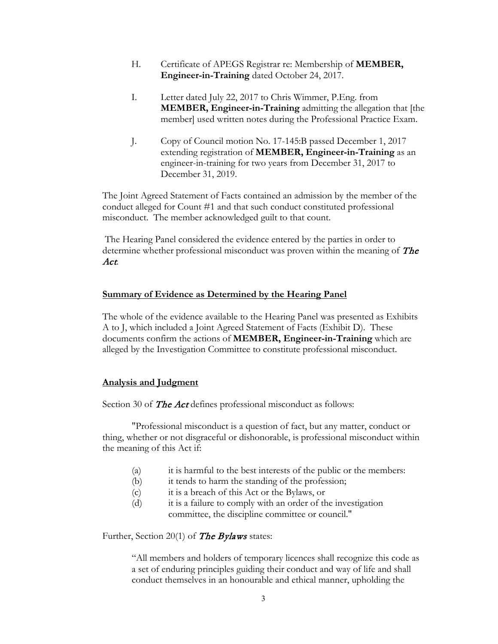- H. Certificate of APEGS Registrar re: Membership of **MEMBER, Engineer-in-Training** dated October 24, 2017.
- I. Letter dated July 22, 2017 to Chris Wimmer, P.Eng. from **MEMBER, Engineer-in-Training** admitting the allegation that [the member] used written notes during the Professional Practice Exam.
- J. Copy of Council motion No. 17-145:B passed December 1, 2017 extending registration of **MEMBER, Engineer-in-Training** as an engineer-in-training for two years from December 31, 2017 to December 31, 2019.

The Joint Agreed Statement of Facts contained an admission by the member of the conduct alleged for Count #1 and that such conduct constituted professional misconduct. The member acknowledged guilt to that count.

 The Hearing Panel considered the evidence entered by the parties in order to determine whether professional misconduct was proven within the meaning of The Act.

### **Summary of Evidence as Determined by the Hearing Panel**

The whole of the evidence available to the Hearing Panel was presented as Exhibits A to J, which included a Joint Agreed Statement of Facts (Exhibit D). These documents confirm the actions of **MEMBER, Engineer-in-Training** which are alleged by the Investigation Committee to constitute professional misconduct.

### **Analysis and Judgment**

Section 30 of **The Act** defines professional misconduct as follows:

"Professional misconduct is a question of fact, but any matter, conduct or thing, whether or not disgraceful or dishonorable, is professional misconduct within the meaning of this Act if:

- (a) it is harmful to the best interests of the public or the members:
- (b) it tends to harm the standing of the profession;
- (c) it is a breach of this Act or the Bylaws, or
- (d) it is a failure to comply with an order of the investigation committee, the discipline committee or council."

Further, Section 20(1) of **The Bylaws** states:

"All members and holders of temporary licences shall recognize this code as a set of enduring principles guiding their conduct and way of life and shall conduct themselves in an honourable and ethical manner, upholding the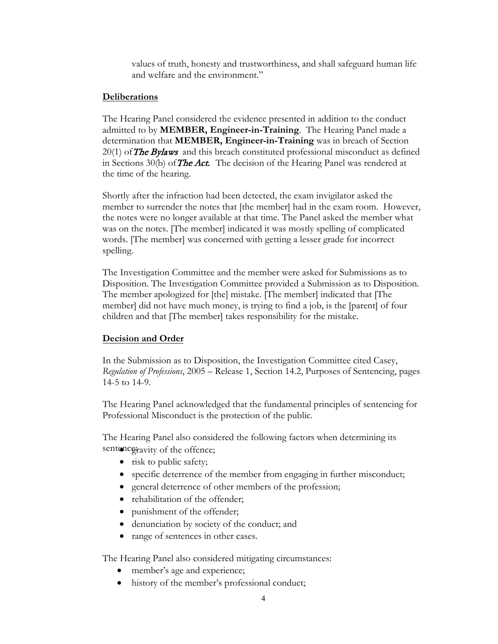values of truth, honesty and trustworthiness, and shall safeguard human life and welfare and the environment."

## **Deliberations**

The Hearing Panel considered the evidence presented in addition to the conduct admitted to by **MEMBER, Engineer-in-Training**. The Hearing Panel made a determination that **MEMBER, Engineer-in-Training** was in breach of Section  $20(1)$  of The Bylaws and this breach constituted professional misconduct as defined in Sections 30(b) of **The Act.** The decision of the Hearing Panel was rendered at the time of the hearing.

Shortly after the infraction had been detected, the exam invigilator asked the member to surrender the notes that [the member] had in the exam room. However, the notes were no longer available at that time. The Panel asked the member what was on the notes. [The member] indicated it was mostly spelling of complicated words. [The member] was concerned with getting a lesser grade for incorrect spelling.

The Investigation Committee and the member were asked for Submissions as to Disposition. The Investigation Committee provided a Submission as to Disposition. The member apologized for [the] mistake. [The member] indicated that [The member] did not have much money, is trying to find a job, is the [parent] of four children and that [The member] takes responsibility for the mistake.

## **Decision and Order**

In the Submission as to Disposition, the Investigation Committee cited Casey, *Regulation of Professions*, 2005 – Release 1, Section 14.2, Purposes of Sentencing, pages 14-5 to 14-9.

The Hearing Panel acknowledged that the fundamental principles of sentencing for Professional Misconduct is the protection of the public.

The Hearing Panel also considered the following factors when determining its sentence *iravity* of the offence;

- risk to public safety;
- specific deterrence of the member from engaging in further misconduct;
- general deterrence of other members of the profession;
- rehabilitation of the offender;
- punishment of the offender;
- denunciation by society of the conduct; and
- range of sentences in other cases.

The Hearing Panel also considered mitigating circumstances:

- member's age and experience;
- history of the member's professional conduct;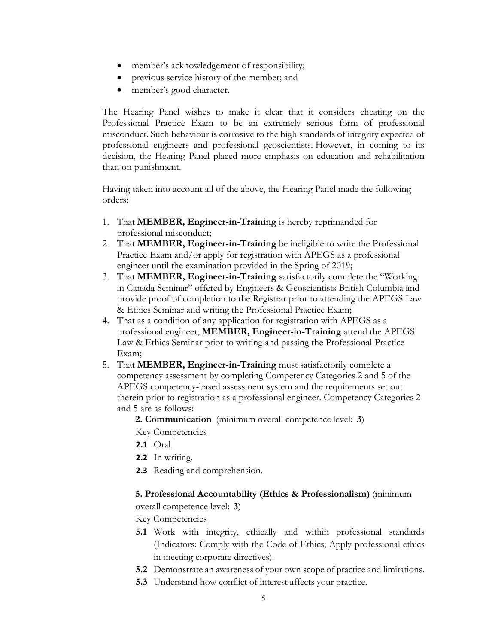- member's acknowledgement of responsibility;
- previous service history of the member; and
- member's good character.

The Hearing Panel wishes to make it clear that it considers cheating on the Professional Practice Exam to be an extremely serious form of professional misconduct. Such behaviour is corrosive to the high standards of integrity expected of professional engineers and professional geoscientists. However, in coming to its decision, the Hearing Panel placed more emphasis on education and rehabilitation than on punishment.

Having taken into account all of the above, the Hearing Panel made the following orders:

- 1. That **MEMBER, Engineer-in-Training** is hereby reprimanded for professional misconduct;
- 2. That **MEMBER, Engineer-in-Training** be ineligible to write the Professional Practice Exam and/or apply for registration with APEGS as a professional engineer until the examination provided in the Spring of 2019;
- 3. That **MEMBER, Engineer-in-Training** satisfactorily complete the "Working in Canada Seminar" offered by Engineers & Geoscientists British Columbia and provide proof of completion to the Registrar prior to attending the APEGS Law & Ethics Seminar and writing the Professional Practice Exam;
- 4. That as a condition of any application for registration with APEGS as a professional engineer, **MEMBER, Engineer-in-Training** attend the APEGS Law & Ethics Seminar prior to writing and passing the Professional Practice Exam;
- 5. That **MEMBER, Engineer-in-Training** must satisfactorily complete a competency assessment by completing Competency Categories 2 and 5 of the APEGS competency-based assessment system and the requirements set out therein prior to registration as a professional engineer. Competency Categories 2 and 5 are as follows:

**2. Communication** (minimum overall competence level: **3**) Key Competencies

- **2.1** Oral.
- **2.2** In writing.
- **2.3** Reading and comprehension.

## **5. Professional Accountability (Ethics & Professionalism)** (minimum

overall competence level: **3**)

Key Competencies

- **5.1** Work with integrity, ethically and within professional standards (Indicators: Comply with the Code of Ethics; Apply professional ethics in meeting corporate directives).
- **5.2** Demonstrate an awareness of your own scope of practice and limitations.
- **5.3** Understand how conflict of interest affects your practice.